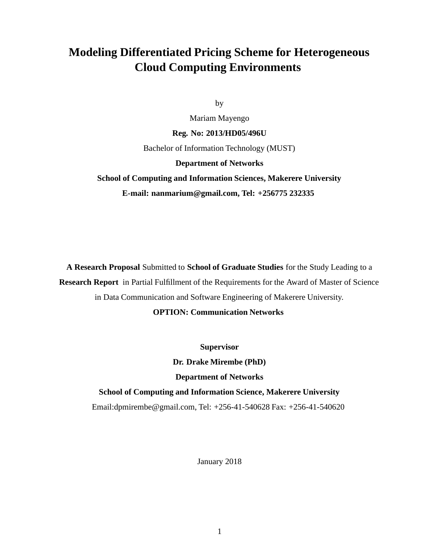## **Modeling Differentiated Pricing Scheme for Heterogeneous Cloud Computing Environments**

by

Mariam Mayengo

**Reg. No: 2013/HD05/496U**

Bachelor of Information Technology (MUST)

#### **Department of Networks**

## **School of Computing and Information Sciences, Makerere University E-mail: nanmarium@gmail.com, Tel: +256775 232335**

**A Research Proposal** Submitted to **School of Graduate Studies** for the Study Leading to a **Research Report** in Partial Fulfillment of the Requirements for the Award of Master of Science in Data Communication and Software Engineering of Makerere University.

#### **OPTION: Communication Networks**

**Supervisor**

**Dr. Drake Mirembe (PhD)**

**Department of Networks**

**School of Computing and Information Science, Makerere University** Email:dpmirembe@gmail.com, Tel: +256-41-540628 Fax: +256-41-540620

January 2018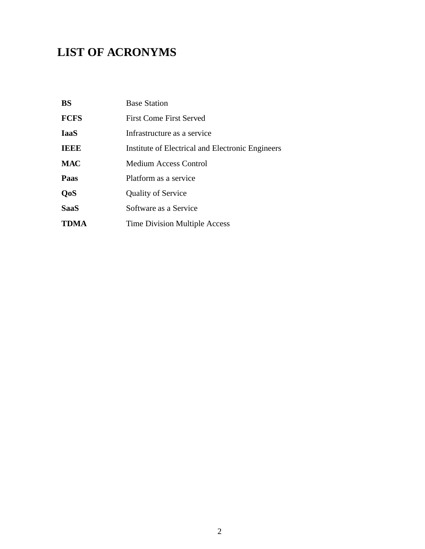## **LIST OF ACRONYMS**

| <b>BS</b>   | <b>Base Station</b>                              |  |
|-------------|--------------------------------------------------|--|
| <b>FCFS</b> | First Come First Served                          |  |
| <b>IaaS</b> | Infrastructure as a service                      |  |
| <b>IEEE</b> | Institute of Electrical and Electronic Engineers |  |
| <b>MAC</b>  | <b>Medium Access Control</b>                     |  |
| Paas        | Platform as a service                            |  |
| <b>QoS</b>  | <b>Quality of Service</b>                        |  |
| <b>SaaS</b> | Software as a Service                            |  |
| <b>TDMA</b> | <b>Time Division Multiple Access</b>             |  |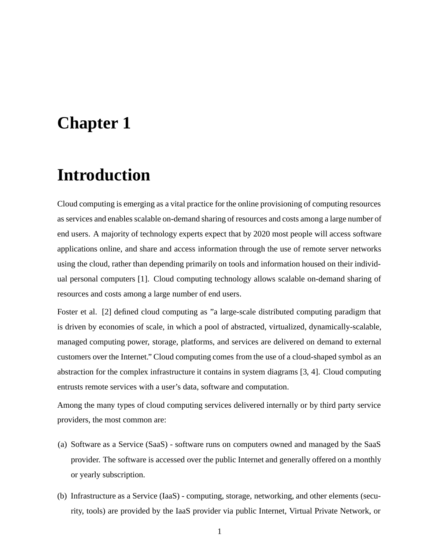# **Chapter 1**

## **Introduction**

Cloud computing is emerging as a vital practice for the online provisioning of computing resources as services and enables scalable on-demand sharing of resources and costs among a large number of end users. A majority of technology experts expect that by 2020 most people will access software applications online, and share and access information through the use of remote server networks using the cloud, rather than depending primarily on tools and information housed on their individual personal computers [1]. Cloud computing technology allows scalable on-demand sharing of resources and costs among a large number of end users.

Foster et al. [2] defined cloud computing as "a large-scale distributed computing paradigm that is driven by economies of scale, in which a pool of abstracted, virtualized, dynamically-scalable, managed computing power, storage, platforms, and services are delivered on demand to external customers over the Internet." Cloud computing comes from the use of a cloud-shaped symbol as an abstraction for the complex infrastructure it contains in system diagrams [3, 4]. Cloud computing entrusts remote services with a user's data, software and computation.

Among the many types of cloud computing services delivered internally or by third party service providers, the most common are:

- (a) Software as a Service (SaaS) software runs on computers owned and managed by the SaaS provider. The software is accessed over the public Internet and generally offered on a monthly or yearly subscription.
- (b) Infrastructure as a Service (IaaS) computing, storage, networking, and other elements (security, tools) are provided by the IaaS provider via public Internet, Virtual Private Network, or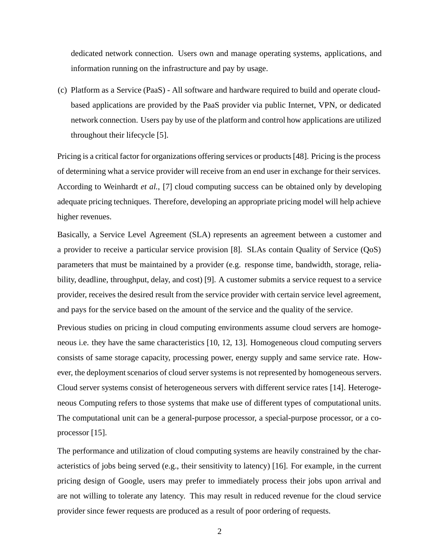dedicated network connection. Users own and manage operating systems, applications, and information running on the infrastructure and pay by usage.

(c) Platform as a Service (PaaS) - All software and hardware required to build and operate cloudbased applications are provided by the PaaS provider via public Internet, VPN, or dedicated network connection. Users pay by use of the platform and control how applications are utilized throughout their lifecycle [5].

Pricing is a critical factor for organizations offering services or products [48]. Pricing is the process of determining what a service provider will receive from an end user in exchange for their services. According to Weinhardt *et al.*, [7] cloud computing success can be obtained only by developing adequate pricing techniques. Therefore, developing an appropriate pricing model will help achieve higher revenues.

Basically, a Service Level Agreement (SLA) represents an agreement between a customer and a provider to receive a particular service provision [8]. SLAs contain Quality of Service (QoS) parameters that must be maintained by a provider (e.g. response time, bandwidth, storage, reliability, deadline, throughput, delay, and cost) [9]. A customer submits a service request to a service provider, receives the desired result from the service provider with certain service level agreement, and pays for the service based on the amount of the service and the quality of the service.

Previous studies on pricing in cloud computing environments assume cloud servers are homogeneous i.e. they have the same characteristics [10, 12, 13]. Homogeneous cloud computing servers consists of same storage capacity, processing power, energy supply and same service rate. However, the deployment scenarios of cloud server systems is not represented by homogeneous servers. Cloud server systems consist of heterogeneous servers with different service rates [14]. Heterogeneous Computing refers to those systems that make use of different types of computational units. The computational unit can be a general-purpose processor, a special-purpose processor, or a coprocessor [15].

The performance and utilization of cloud computing systems are heavily constrained by the characteristics of jobs being served (e.g., their sensitivity to latency) [16]. For example, in the current pricing design of Google, users may prefer to immediately process their jobs upon arrival and are not willing to tolerate any latency. This may result in reduced revenue for the cloud service provider since fewer requests are produced as a result of poor ordering of requests.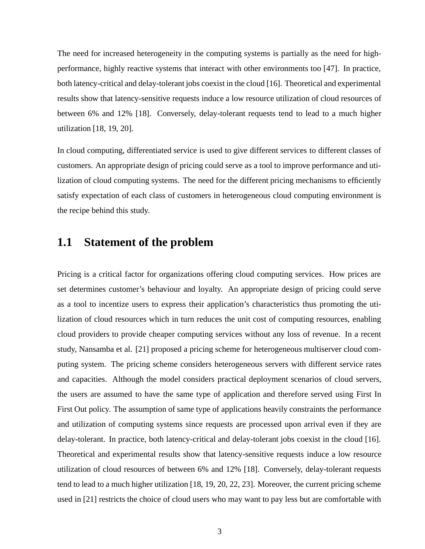The need for increased heterogeneity in the computing systems is partially as the need for highperformance, highly reactive systems that interact with other environments too [47]. In practice, both latency-critical and delay-tolerant jobs coexist in the cloud [16]. Theoretical and experimental results show that latency-sensitive requests induce a low resource utilization of cloud resources of between 6% and 12% [18]. Conversely, delay-tolerant requests tend to lead to a much higher utilization [18, 19, 20].

In cloud computing, differentiated service is used to give different services to different classes of customers. An appropriate design of pricing could serve as a tool to improve performance and utilization of cloud computing systems. The need for the different pricing mechanisms to efficiently satisfy expectation of each class of customers in heterogeneous cloud computing environment is the recipe behind this study.

#### **1.1 Statement of the problem**

Pricing is a critical factor for organizations offering cloud computing services. How prices are set determines customer's behaviour and loyalty. An appropriate design of pricing could serve as a tool to incentize users to express their application's characteristics thus promoting the utilization of cloud resources which in turn reduces the unit cost of computing resources, enabling cloud providers to provide cheaper computing services without any loss of revenue. In a recent study, Nansamba et al. [21] proposed a pricing scheme for heterogeneous multiserver cloud computing system. The pricing scheme considers heterogeneous servers with different service rates and capacities. Although the model considers practical deployment scenarios of cloud servers, the users are assumed to have the same type of application and therefore served using First In First Out policy. The assumption of same type of applications heavily constraints the performance and utilization of computing systems since requests are processed upon arrival even if they are delay-tolerant. In practice, both latency-critical and delay-tolerant jobs coexist in the cloud [16]. Theoretical and experimental results show that latency-sensitive requests induce a low resource utilization of cloud resources of between 6% and 12% [18]. Conversely, delay-tolerant requests tend to lead to a much higher utilization [18, 19, 20, 22, 23]. Moreover, the current pricing scheme used in [21] restricts the choice of cloud users who may want to pay less but are comfortable with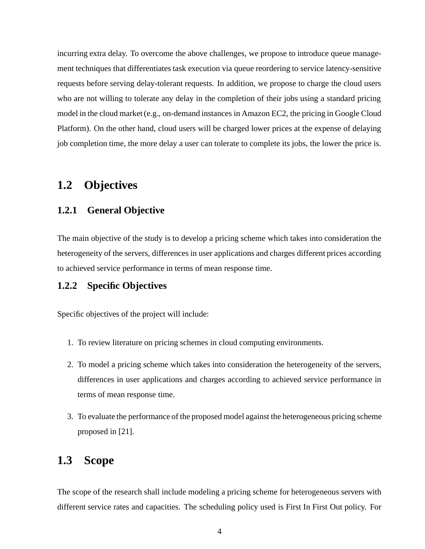incurring extra delay. To overcome the above challenges, we propose to introduce queue management techniques that differentiates task execution via queue reordering to service latency-sensitive requests before serving delay-tolerant requests. In addition, we propose to charge the cloud users who are not willing to tolerate any delay in the completion of their jobs using a standard pricing model in the cloud market (e.g., on-demand instances in Amazon EC2, the pricing in Google Cloud Platform). On the other hand, cloud users will be charged lower prices at the expense of delaying job completion time, the more delay a user can tolerate to complete its jobs, the lower the price is.

### **1.2 Objectives**

#### **1.2.1 General Objective**

The main objective of the study is to develop a pricing scheme which takes into consideration the heterogeneity of the servers, differences in user applications and charges different prices according to achieved service performance in terms of mean response time.

#### **1.2.2 Specific Objectives**

Specific objectives of the project will include:

- 1. To review literature on pricing schemes in cloud computing environments.
- 2. To model a pricing scheme which takes into consideration the heterogeneity of the servers, differences in user applications and charges according to achieved service performance in terms of mean response time.
- 3. To evaluate the performance of the proposed model against the heterogeneous pricing scheme proposed in [21].

### **1.3 Scope**

The scope of the research shall include modeling a pricing scheme for heterogeneous servers with different service rates and capacities. The scheduling policy used is First In First Out policy. For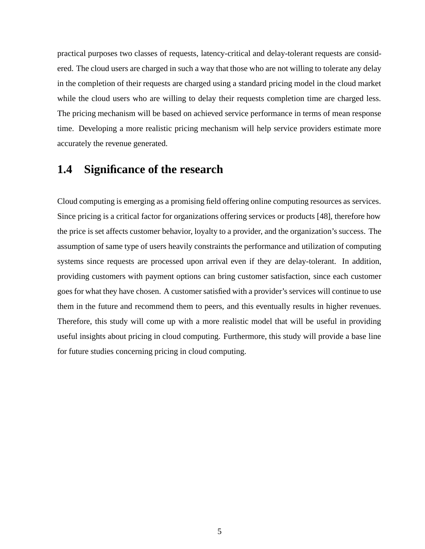practical purposes two classes of requests, latency-critical and delay-tolerant requests are considered. The cloud users are charged in such a way that those who are not willing to tolerate any delay in the completion of their requests are charged using a standard pricing model in the cloud market while the cloud users who are willing to delay their requests completion time are charged less. The pricing mechanism will be based on achieved service performance in terms of mean response time. Developing a more realistic pricing mechanism will help service providers estimate more accurately the revenue generated.

### **1.4 Significance of the research**

Cloud computing is emerging as a promising field offering online computing resources as services. Since pricing is a critical factor for organizations offering services or products [48], therefore how the price is set affects customer behavior, loyalty to a provider, and the organization's success. The assumption of same type of users heavily constraints the performance and utilization of computing systems since requests are processed upon arrival even if they are delay-tolerant. In addition, providing customers with payment options can bring customer satisfaction, since each customer goes for what they have chosen. A customer satisfied with a provider's services will continue to use them in the future and recommend them to peers, and this eventually results in higher revenues. Therefore, this study will come up with a more realistic model that will be useful in providing useful insights about pricing in cloud computing. Furthermore, this study will provide a base line for future studies concerning pricing in cloud computing.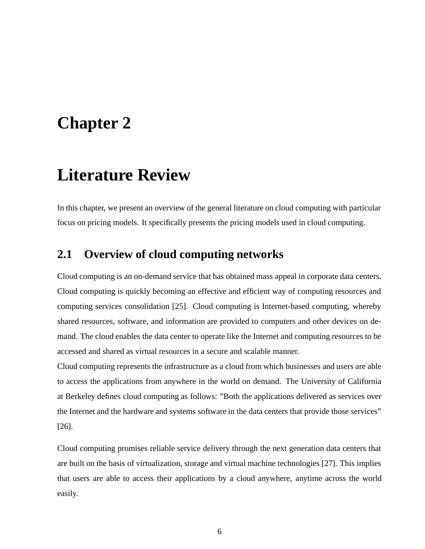# **Chapter 2**

# **Literature Review**

In this chapter, we present an overview of the general literature on cloud computing with particular focus on pricing models. It specifically presents the pricing models used in cloud computing.

### **2.1 Overview of cloud computing networks**

Cloud computing is an on-demand service that has obtained mass appeal in corporate data centers. Cloud computing is quickly becoming an effective and efficient way of computing resources and computing services consolidation [25]. Cloud computing is Internet-based computing, whereby shared resources, software, and information are provided to computers and other devices on demand. The cloud enables the data center to operate like the Internet and computing resources to be accessed and shared as virtual resources in a secure and scalable manner.

Cloud computing represents the infrastructure as a cloud from which businesses and users are able to access the applications from anywhere in the world on demand. The University of California at Berkeley defines cloud computing as follows: "Both the applications delivered as services over the Internet and the hardware and systems software in the data centers that provide those services" [26].

Cloud computing promises reliable service delivery through the next generation data centers that are built on the basis of virtualization, storage and virtual machine technologies [27]. This implies that users are able to access their applications by a cloud anywhere, anytime across the world easily.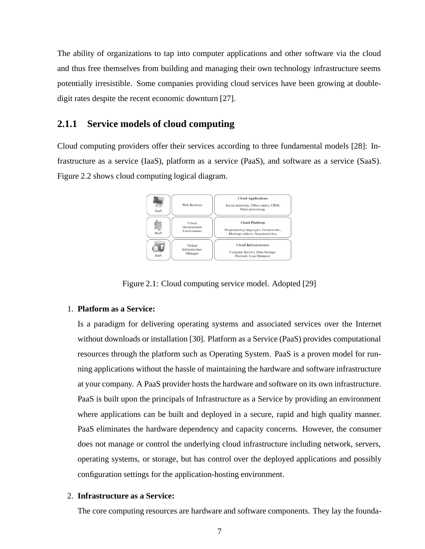The ability of organizations to tap into computer applications and other software via the cloud and thus free themselves from building and managing their own technology infrastructure seems potentially irresistible. Some companies providing cloud services have been growing at doubledigit rates despite the recent economic downturn [27].

#### **2.1.1 Service models of cloud computing**

Cloud computing providers offer their services according to three fundamental models [28]: Infrastructure as a service (IaaS), platform as a service (PaaS), and software as a service (SaaS). Figure 2.2 shows cloud computing logical diagram.



Figure 2.1: Cloud computing service model. Adopted [29]

#### 1. **Platform as a Service:**

Is a paradigm for delivering operating systems and associated services over the Internet without downloads or installation [30]. Platform as a Service (PaaS) provides computational resources through the platform such as Operating System. PaaS is a proven model for running applications without the hassle of maintaining the hardware and software infrastructure at your company. A PaaS provider hosts the hardware and software on its own infrastructure. PaaS is built upon the principals of Infrastructure as a Service by providing an environment where applications can be built and deployed in a secure, rapid and high quality manner. PaaS eliminates the hardware dependency and capacity concerns. However, the consumer does not manage or control the underlying cloud infrastructure including network, servers, operating systems, or storage, but has control over the deployed applications and possibly configuration settings for the application-hosting environment.

#### 2. **Infrastructure as a Service:**

The core computing resources are hardware and software components. They lay the founda-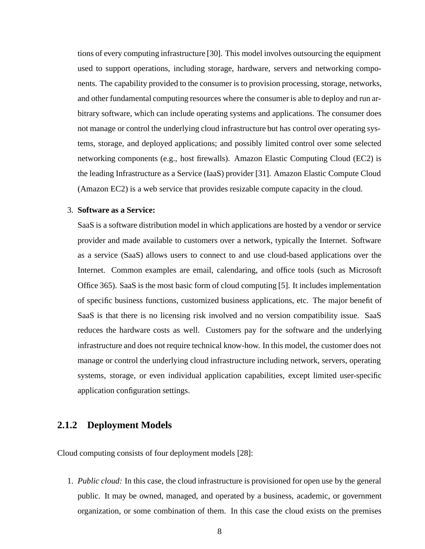tions of every computing infrastructure [30]. This model involves outsourcing the equipment used to support operations, including storage, hardware, servers and networking components. The capability provided to the consumer is to provision processing, storage, networks, and other fundamental computing resources where the consumer is able to deploy and run arbitrary software, which can include operating systems and applications. The consumer does not manage or control the underlying cloud infrastructure but has control over operating systems, storage, and deployed applications; and possibly limited control over some selected networking components (e.g., host firewalls). Amazon Elastic Computing Cloud (EC2) is the leading Infrastructure as a Service (IaaS) provider [31]. Amazon Elastic Compute Cloud (Amazon EC2) is a web service that provides resizable compute capacity in the cloud.

#### 3. **Software as a Service:**

SaaS is a software distribution model in which applications are hosted by a vendor or service provider and made available to customers over a network, typically the Internet. Software as a service (SaaS) allows users to connect to and use cloud-based applications over the Internet. Common examples are email, calendaring, and office tools (such as Microsoft Office 365). SaaS is the most basic form of cloud computing [5]. It includes implementation of specific business functions, customized business applications, etc. The major benefit of SaaS is that there is no licensing risk involved and no version compatibility issue. SaaS reduces the hardware costs as well. Customers pay for the software and the underlying infrastructure and does not require technical know-how. In this model, the customer does not manage or control the underlying cloud infrastructure including network, servers, operating systems, storage, or even individual application capabilities, except limited user-specific application configuration settings.

#### **2.1.2 Deployment Models**

Cloud computing consists of four deployment models [28]:

1. *Public cloud:* In this case, the cloud infrastructure is provisioned for open use by the general public. It may be owned, managed, and operated by a business, academic, or government organization, or some combination of them. In this case the cloud exists on the premises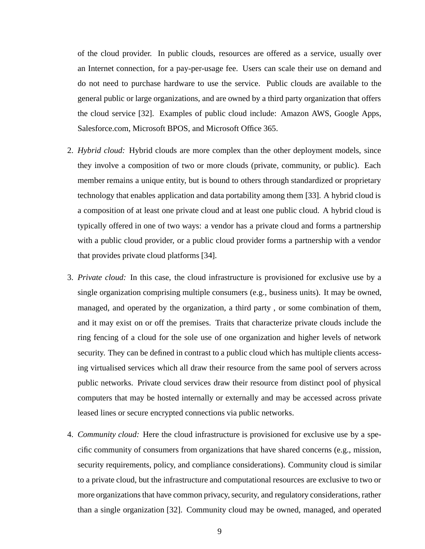of the cloud provider. In public clouds, resources are offered as a service, usually over an Internet connection, for a pay-per-usage fee. Users can scale their use on demand and do not need to purchase hardware to use the service. Public clouds are available to the general public or large organizations, and are owned by a third party organization that offers the cloud service [32]. Examples of public cloud include: Amazon AWS, Google Apps, Salesforce.com, Microsoft BPOS, and Microsoft Office 365.

- 2. *Hybrid cloud:* Hybrid clouds are more complex than the other deployment models, since they involve a composition of two or more clouds (private, community, or public). Each member remains a unique entity, but is bound to others through standardized or proprietary technology that enables application and data portability among them [33]. A hybrid cloud is a composition of at least one private cloud and at least one public cloud. A hybrid cloud is typically offered in one of two ways: a vendor has a private cloud and forms a partnership with a public cloud provider, or a public cloud provider forms a partnership with a vendor that provides private cloud platforms [34].
- 3. *Private cloud:* In this case, the cloud infrastructure is provisioned for exclusive use by a single organization comprising multiple consumers (e.g., business units). It may be owned, managed, and operated by the organization, a third party , or some combination of them, and it may exist on or off the premises. Traits that characterize private clouds include the ring fencing of a cloud for the sole use of one organization and higher levels of network security. They can be defined in contrast to a public cloud which has multiple clients accessing virtualised services which all draw their resource from the same pool of servers across public networks. Private cloud services draw their resource from distinct pool of physical computers that may be hosted internally or externally and may be accessed across private leased lines or secure encrypted connections via public networks.
- 4. *Community cloud:* Here the cloud infrastructure is provisioned for exclusive use by a specific community of consumers from organizations that have shared concerns (e.g., mission, security requirements, policy, and compliance considerations). Community cloud is similar to a private cloud, but the infrastructure and computational resources are exclusive to two or more organizations that have common privacy, security, and regulatory considerations, rather than a single organization [32]. Community cloud may be owned, managed, and operated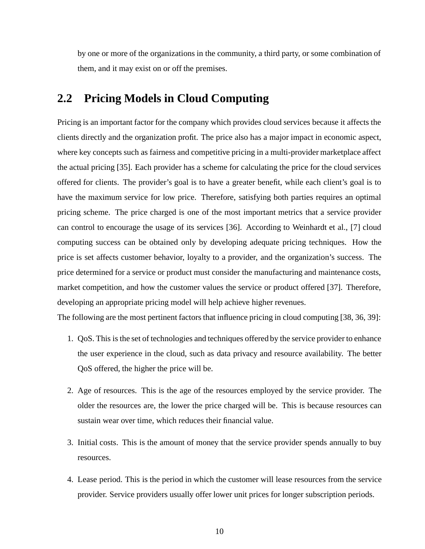by one or more of the organizations in the community, a third party, or some combination of them, and it may exist on or off the premises.

### **2.2 Pricing Models in Cloud Computing**

Pricing is an important factor for the company which provides cloud services because it affects the clients directly and the organization profit. The price also has a major impact in economic aspect, where key concepts such as fairness and competitive pricing in a multi-provider marketplace affect the actual pricing [35]. Each provider has a scheme for calculating the price for the cloud services offered for clients. The provider's goal is to have a greater benefit, while each client's goal is to have the maximum service for low price. Therefore, satisfying both parties requires an optimal pricing scheme. The price charged is one of the most important metrics that a service provider can control to encourage the usage of its services [36]. According to Weinhardt et al., [7] cloud computing success can be obtained only by developing adequate pricing techniques. How the price is set affects customer behavior, loyalty to a provider, and the organization's success. The price determined for a service or product must consider the manufacturing and maintenance costs, market competition, and how the customer values the service or product offered [37]. Therefore, developing an appropriate pricing model will help achieve higher revenues.

The following are the most pertinent factors that influence pricing in cloud computing [38, 36, 39]:

- 1. QoS. This is the set of technologies and techniques offered by the service provider to enhance the user experience in the cloud, such as data privacy and resource availability. The better QoS offered, the higher the price will be.
- 2. Age of resources. This is the age of the resources employed by the service provider. The older the resources are, the lower the price charged will be. This is because resources can sustain wear over time, which reduces their financial value.
- 3. Initial costs. This is the amount of money that the service provider spends annually to buy resources.
- 4. Lease period. This is the period in which the customer will lease resources from the service provider. Service providers usually offer lower unit prices for longer subscription periods.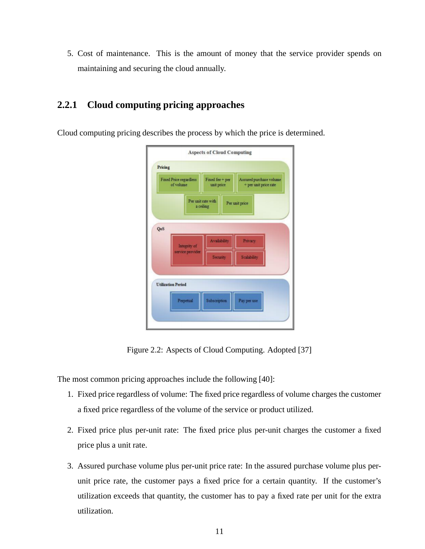5. Cost of maintenance. This is the amount of money that the service provider spends on maintaining and securing the cloud annually.

#### **2.2.1 Cloud computing pricing approaches**

Cloud computing pricing describes the process by which the price is determined.

| <b>Fixed Price regardless</b><br>of volume        | Fixed fee + per<br>unit price | Assured purchase volume<br>+ per unit price rate |  |  |
|---------------------------------------------------|-------------------------------|--------------------------------------------------|--|--|
| Per unit rate with<br>Per unit price<br>a ceiling |                               |                                                  |  |  |
| QoS                                               |                               |                                                  |  |  |
| Integrity of                                      | <b>Availability</b>           | Privacy                                          |  |  |
| service provider                                  | Security                      | Scalability                                      |  |  |
| <b>Utilization Period</b>                         |                               |                                                  |  |  |
| Perpetual                                         | Subscription                  | Pay per use                                      |  |  |

Figure 2.2: Aspects of Cloud Computing. Adopted [37]

The most common pricing approaches include the following [40]:

- 1. Fixed price regardless of volume: The fixed price regardless of volume charges the customer a fixed price regardless of the volume of the service or product utilized.
- 2. Fixed price plus per-unit rate: The fixed price plus per-unit charges the customer a fixed price plus a unit rate.
- 3. Assured purchase volume plus per-unit price rate: In the assured purchase volume plus perunit price rate, the customer pays a fixed price for a certain quantity. If the customer's utilization exceeds that quantity, the customer has to pay a fixed rate per unit for the extra utilization.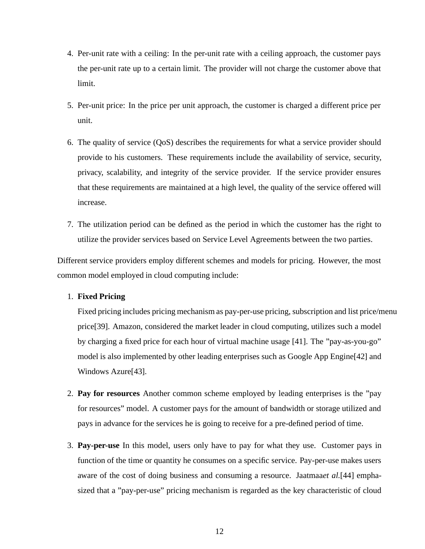- 4. Per-unit rate with a ceiling: In the per-unit rate with a ceiling approach, the customer pays the per-unit rate up to a certain limit. The provider will not charge the customer above that limit.
- 5. Per-unit price: In the price per unit approach, the customer is charged a different price per unit.
- 6. The quality of service (QoS) describes the requirements for what a service provider should provide to his customers. These requirements include the availability of service, security, privacy, scalability, and integrity of the service provider. If the service provider ensures that these requirements are maintained at a high level, the quality of the service offered will increase.
- 7. The utilization period can be defined as the period in which the customer has the right to utilize the provider services based on Service Level Agreements between the two parties.

Different service providers employ different schemes and models for pricing. However, the most common model employed in cloud computing include:

#### 1. **Fixed Pricing**

Fixed pricing includes pricing mechanism as pay-per-use pricing, subscription and list price/menu price[39]. Amazon, considered the market leader in cloud computing, utilizes such a model by charging a fixed price for each hour of virtual machine usage [41]. The "pay-as-you-go" model is also implemented by other leading enterprises such as Google App Engine[42] and Windows Azure[43].

- 2. **Pay for resources** Another common scheme employed by leading enterprises is the "pay for resources" model. A customer pays for the amount of bandwidth or storage utilized and pays in advance for the services he is going to receive for a pre-defined period of time.
- 3. **Pay-per-use** In this model, users only have to pay for what they use. Customer pays in function of the time or quantity he consumes on a specific service. Pay-per-use makes users aware of the cost of doing business and consuming a resource. Jaatmaa*et al.*[44] emphasized that a "pay-per-use" pricing mechanism is regarded as the key characteristic of cloud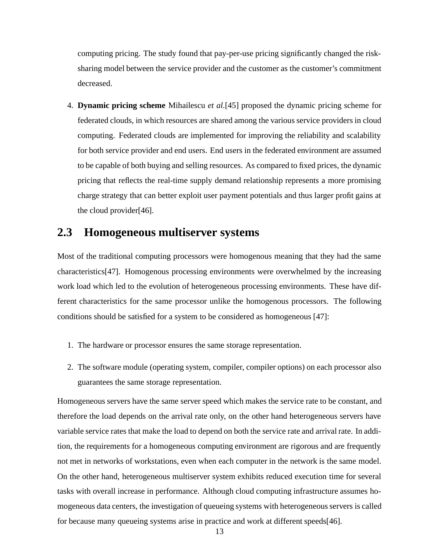computing pricing. The study found that pay-per-use pricing significantly changed the risksharing model between the service provider and the customer as the customer's commitment decreased.

4. **Dynamic pricing scheme** Mihailescu *et al.*[45] proposed the dynamic pricing scheme for federated clouds, in which resources are shared among the various service providers in cloud computing. Federated clouds are implemented for improving the reliability and scalability for both service provider and end users. End users in the federated environment are assumed to be capable of both buying and selling resources. As compared to fixed prices, the dynamic pricing that reflects the real-time supply demand relationship represents a more promising charge strategy that can better exploit user payment potentials and thus larger profit gains at the cloud provider[46].

#### **2.3 Homogeneous multiserver systems**

Most of the traditional computing processors were homogenous meaning that they had the same characteristics[47]. Homogenous processing environments were overwhelmed by the increasing work load which led to the evolution of heterogeneous processing environments. These have different characteristics for the same processor unlike the homogenous processors. The following conditions should be satisfied for a system to be considered as homogeneous [47]:

- 1. The hardware or processor ensures the same storage representation.
- 2. The software module (operating system, compiler, compiler options) on each processor also guarantees the same storage representation.

Homogeneous servers have the same server speed which makes the service rate to be constant, and therefore the load depends on the arrival rate only, on the other hand heterogeneous servers have variable service rates that make the load to depend on both the service rate and arrival rate. In addition, the requirements for a homogeneous computing environment are rigorous and are frequently not met in networks of workstations, even when each computer in the network is the same model. On the other hand, heterogeneous multiserver system exhibits reduced execution time for several tasks with overall increase in performance. Although cloud computing infrastructure assumes homogeneous data centers, the investigation of queueing systems with heterogeneous servers is called for because many queueing systems arise in practice and work at different speeds[46].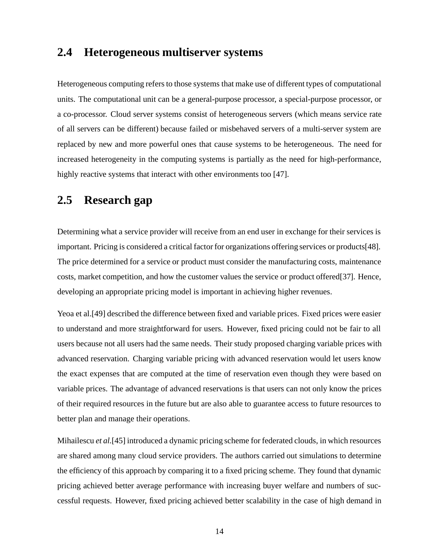#### **2.4 Heterogeneous multiserver systems**

Heterogeneous computing refers to those systems that make use of different types of computational units. The computational unit can be a general-purpose processor, a special-purpose processor, or a co-processor. Cloud server systems consist of heterogeneous servers (which means service rate of all servers can be different) because failed or misbehaved servers of a multi-server system are replaced by new and more powerful ones that cause systems to be heterogeneous. The need for increased heterogeneity in the computing systems is partially as the need for high-performance, highly reactive systems that interact with other environments too [47].

## **2.5 Research gap**

Determining what a service provider will receive from an end user in exchange for their services is important. Pricing is considered a critical factor for organizations offering services or products[48]. The price determined for a service or product must consider the manufacturing costs, maintenance costs, market competition, and how the customer values the service or product offered[37]. Hence, developing an appropriate pricing model is important in achieving higher revenues.

Yeoa et al.[49] described the difference between fixed and variable prices. Fixed prices were easier to understand and more straightforward for users. However, fixed pricing could not be fair to all users because not all users had the same needs. Their study proposed charging variable prices with advanced reservation. Charging variable pricing with advanced reservation would let users know the exact expenses that are computed at the time of reservation even though they were based on variable prices. The advantage of advanced reservations is that users can not only know the prices of their required resources in the future but are also able to guarantee access to future resources to better plan and manage their operations.

Mihailescu *et al.*[45] introduced a dynamic pricing scheme for federated clouds, in which resources are shared among many cloud service providers. The authors carried out simulations to determine the efficiency of this approach by comparing it to a fixed pricing scheme. They found that dynamic pricing achieved better average performance with increasing buyer welfare and numbers of successful requests. However, fixed pricing achieved better scalability in the case of high demand in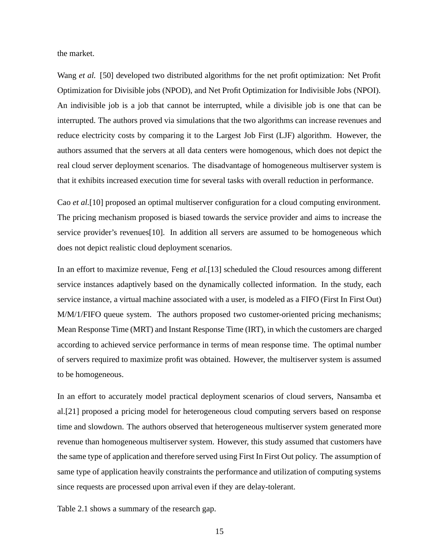the market.

Wang *et al.* [50] developed two distributed algorithms for the net profit optimization: Net Profit Optimization for Divisible jobs (NPOD), and Net Profit Optimization for Indivisible Jobs (NPOI). An indivisible job is a job that cannot be interrupted, while a divisible job is one that can be interrupted. The authors proved via simulations that the two algorithms can increase revenues and reduce electricity costs by comparing it to the Largest Job First (LJF) algorithm. However, the authors assumed that the servers at all data centers were homogenous, which does not depict the real cloud server deployment scenarios. The disadvantage of homogeneous multiserver system is that it exhibits increased execution time for several tasks with overall reduction in performance.

Cao *et al.*[10] proposed an optimal multiserver configuration for a cloud computing environment. The pricing mechanism proposed is biased towards the service provider and aims to increase the service provider's revenues[10]. In addition all servers are assumed to be homogeneous which does not depict realistic cloud deployment scenarios.

In an effort to maximize revenue, Feng *et al.*[13] scheduled the Cloud resources among different service instances adaptively based on the dynamically collected information. In the study, each service instance, a virtual machine associated with a user, is modeled as a FIFO (First In First Out) M/M/1/FIFO queue system. The authors proposed two customer-oriented pricing mechanisms; Mean Response Time (MRT) and Instant Response Time (IRT), in which the customers are charged according to achieved service performance in terms of mean response time. The optimal number of servers required to maximize profit was obtained. However, the multiserver system is assumed to be homogeneous.

In an effort to accurately model practical deployment scenarios of cloud servers, Nansamba et al.[21] proposed a pricing model for heterogeneous cloud computing servers based on response time and slowdown. The authors observed that heterogeneous multiserver system generated more revenue than homogeneous multiserver system. However, this study assumed that customers have the same type of application and therefore served using First In First Out policy. The assumption of same type of application heavily constraints the performance and utilization of computing systems since requests are processed upon arrival even if they are delay-tolerant.

Table 2.1 shows a summary of the research gap.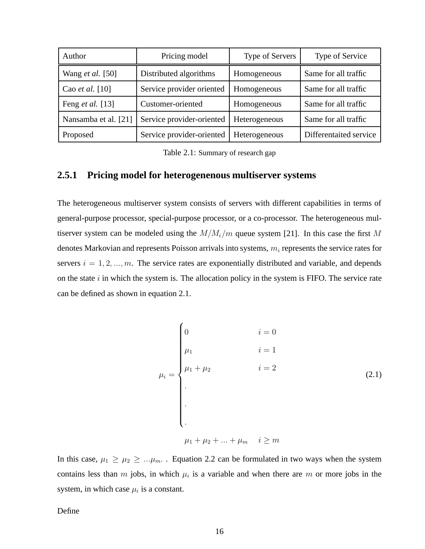| Author                  | Pricing model             | Type of Servers | Type of Service        |
|-------------------------|---------------------------|-----------------|------------------------|
| Wang <i>et al.</i> [50] | Distributed algorithms    | Homogeneous     | Same for all traffic   |
| Cao et al. $[10]$       | Service provider oriented | Homogeneous     | Same for all traffic   |
| Feng <i>et al.</i> [13] | Customer-oriented         | Homogeneous     | Same for all traffic   |
| Nansamba et al. [21]    | Service provider-oriented | Heterogeneous   | Same for all traffic   |
| Proposed                | Service provider-oriented | Heterogeneous   | Differentaited service |

Table 2.1: Summary of research gap

#### **2.5.1 Pricing model for heterogenenous multiserver systems**

The heterogeneous multiserver system consists of servers with different capabilities in terms of general-purpose processor, special-purpose processor, or a co-processor. The heterogeneous multiserver system can be modeled using the  $M/M_i/m$  queue system [21]. In this case the first M denotes Markovian and represents Poisson arrivals into systems,  $m_i$  represents the service rates for servers  $i = 1, 2, ..., m$ . The service rates are exponentially distributed and variable, and depends on the state  $i$  in which the system is. The allocation policy in the system is FIFO. The service rate can be defined as shown in equation 2.1.

$$
\mu_{i} = \begin{cases}\n0 & i = 0 \\
\mu_{1} & i = 1 \\
\mu_{1} + \mu_{2} & i = 2 \\
\vdots \\
\mu_{1} + \mu_{2} + \ldots + \mu_{m} & i \geq m\n\end{cases}
$$
\n(2.1)

In this case,  $\mu_1 \ge \mu_2 \ge \ldots \mu_m$ . Equation 2.2 can be formulated in two ways when the system contains less than m jobs, in which  $\mu_i$  is a variable and when there are m or more jobs in the system, in which case  $\mu_i$  is a constant.

Define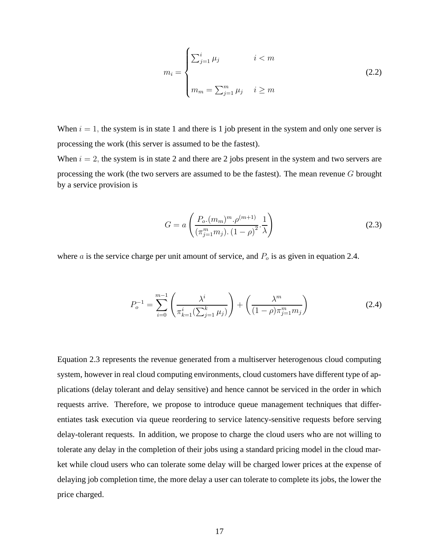$$
m_i = \begin{cases} \sum_{j=1}^i \mu_j & i < m \\ & m_m = \sum_{j=1}^m \mu_j & i \ge m \end{cases} \tag{2.2}
$$

When  $i = 1$ , the system is in state 1 and there is 1 job present in the system and only one server is processing the work (this server is assumed to be the fastest).

When  $i = 2$ , the system is in state 2 and there are 2 jobs present in the system and two servers are processing the work (the two servers are assumed to be the fastest). The mean revenue  $G$  brought by a service provision is

$$
G = a \left( \frac{P_o.(m_m)^m . \rho^{(m+1)}}{(\pi_{j=1}^m m_j) . (1 - \rho)^2} . \frac{1}{\lambda} \right)
$$
 (2.3)

where  $a$  is the service charge per unit amount of service, and  $P<sub>o</sub>$  is as given in equation 2.4.

$$
P_o^{-1} = \sum_{i=0}^{m-1} \left( \frac{\lambda^i}{\pi_{k=1}^i (\sum_{j=1}^k \mu_j)} \right) + \left( \frac{\lambda^m}{(1-\rho)\pi_{j=1}^m m_j} \right)
$$
(2.4)

Equation 2.3 represents the revenue generated from a multiserver heterogenous cloud computing system, however in real cloud computing environments, cloud customers have different type of applications (delay tolerant and delay sensitive) and hence cannot be serviced in the order in which requests arrive. Therefore, we propose to introduce queue management techniques that differentiates task execution via queue reordering to service latency-sensitive requests before serving delay-tolerant requests. In addition, we propose to charge the cloud users who are not willing to tolerate any delay in the completion of their jobs using a standard pricing model in the cloud market while cloud users who can tolerate some delay will be charged lower prices at the expense of delaying job completion time, the more delay a user can tolerate to complete its jobs, the lower the price charged.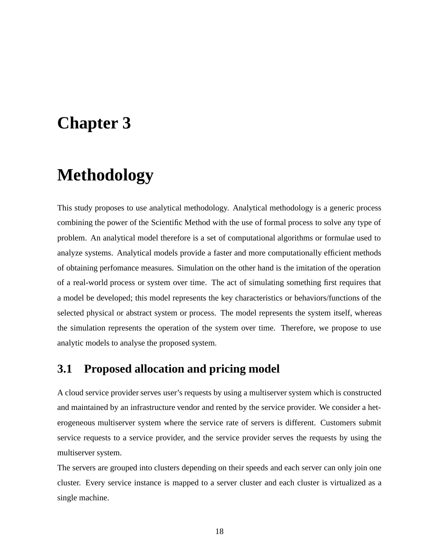## **Chapter 3**

# **Methodology**

This study proposes to use analytical methodology. Analytical methodology is a generic process combining the power of the Scientific Method with the use of formal process to solve any type of problem. An analytical model therefore is a set of computational algorithms or formulae used to analyze systems. Analytical models provide a faster and more computationally efficient methods of obtaining perfomance measures. Simulation on the other hand is the imitation of the operation of a real-world process or system over time. The act of simulating something first requires that a model be developed; this model represents the key characteristics or behaviors/functions of the selected physical or abstract system or process. The model represents the system itself, whereas the simulation represents the operation of the system over time. Therefore, we propose to use analytic models to analyse the proposed system.

### **3.1 Proposed allocation and pricing model**

A cloud service provider serves user's requests by using a multiserver system which is constructed and maintained by an infrastructure vendor and rented by the service provider. We consider a heterogeneous multiserver system where the service rate of servers is different. Customers submit service requests to a service provider, and the service provider serves the requests by using the multiserver system.

The servers are grouped into clusters depending on their speeds and each server can only join one cluster. Every service instance is mapped to a server cluster and each cluster is virtualized as a single machine.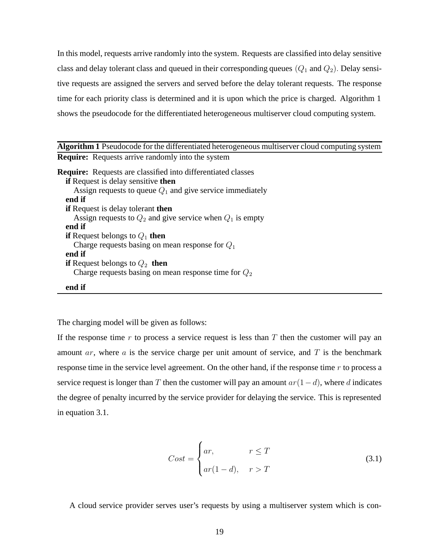In this model, requests arrive randomly into the system. Requests are classified into delay sensitive class and delay tolerant class and queued in their corresponding queues  $(Q_1 \text{ and } Q_2)$ . Delay sensitive requests are assigned the servers and served before the delay tolerant requests. The response time for each priority class is determined and it is upon which the price is charged. Algorithm 1 shows the pseudocode for the differentiated heterogeneous multiserver cloud computing system.

| <b>Algorithm 1</b> Pseudocode for the differentiated heterogeneous multiserver cloud computing system |
|-------------------------------------------------------------------------------------------------------|
| <b>Require:</b> Requests arrive randomly into the system                                              |
| <b>Require:</b> Requests are classified into differentiated classes                                   |
| <b>if</b> Request is delay sensitive then                                                             |
| Assign requests to queue $Q_1$ and give service immediately                                           |
| end if                                                                                                |
| <b>if</b> Request is delay tolerant then                                                              |
| Assign requests to $Q_2$ and give service when $Q_1$ is empty                                         |
| end if                                                                                                |
| <b>if</b> Request belongs to $Q_1$ then                                                               |
| Charge requests basing on mean response for $Q_1$                                                     |
| end if                                                                                                |
| <b>if</b> Request belongs to $Q_2$ then                                                               |
| Charge requests basing on mean response time for $Q_2$                                                |
| end if                                                                                                |

The charging model will be given as follows:

If the response time  $r$  to process a service request is less than  $T$  then the customer will pay an amount  $ar$ , where  $a$  is the service charge per unit amount of service, and  $T$  is the benchmark response time in the service level agreement. On the other hand, if the response time r to process a service request is longer than T then the customer will pay an amount  $ar(1-d)$ , where d indicates the degree of penalty incurred by the service provider for delaying the service. This is represented in equation 3.1.

$$
Cost = \begin{cases} ar, & r \le T \\ ar(1-d), & r > T \end{cases}
$$
 (3.1)

A cloud service provider serves user's requests by using a multiserver system which is con-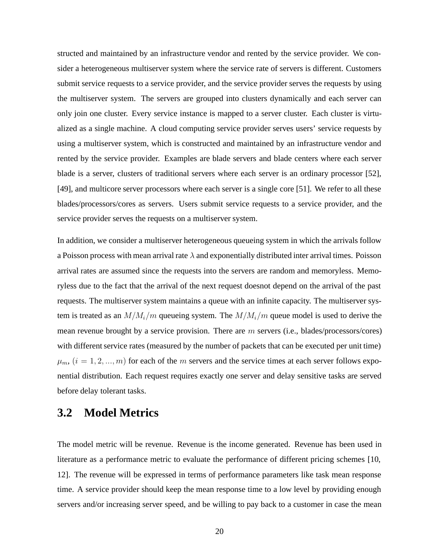structed and maintained by an infrastructure vendor and rented by the service provider. We consider a heterogeneous multiserver system where the service rate of servers is different. Customers submit service requests to a service provider, and the service provider serves the requests by using the multiserver system. The servers are grouped into clusters dynamically and each server can only join one cluster. Every service instance is mapped to a server cluster. Each cluster is virtualized as a single machine. A cloud computing service provider serves users' service requests by using a multiserver system, which is constructed and maintained by an infrastructure vendor and rented by the service provider. Examples are blade servers and blade centers where each server blade is a server, clusters of traditional servers where each server is an ordinary processor [52], [49], and multicore server processors where each server is a single core [51]. We refer to all these blades/processors/cores as servers. Users submit service requests to a service provider, and the service provider serves the requests on a multiserver system.

In addition, we consider a multiserver heterogeneous queueing system in which the arrivals follow a Poisson process with mean arrival rate  $\lambda$  and exponentially distributed inter arrival times. Poisson arrival rates are assumed since the requests into the servers are random and memoryless. Memoryless due to the fact that the arrival of the next request doesnot depend on the arrival of the past requests. The multiserver system maintains a queue with an infinite capacity. The multiserver system is treated as an  $M/M_i/m$  queueing system. The  $M/M_i/m$  queue model is used to derive the mean revenue brought by a service provision. There are m servers (i.e., blades/processors/cores) with different service rates (measured by the number of packets that can be executed per unit time)  $\mu_m$ ,  $(i = 1, 2, ..., m)$  for each of the m servers and the service times at each server follows exponential distribution. Each request requires exactly one server and delay sensitive tasks are served before delay tolerant tasks.

## **3.2 Model Metrics**

The model metric will be revenue. Revenue is the income generated. Revenue has been used in literature as a performance metric to evaluate the performance of different pricing schemes [10, 12]. The revenue will be expressed in terms of performance parameters like task mean response time. A service provider should keep the mean response time to a low level by providing enough servers and/or increasing server speed, and be willing to pay back to a customer in case the mean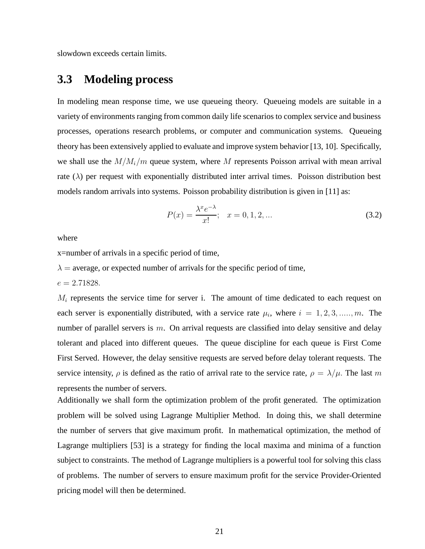slowdown exceeds certain limits.

## **3.3 Modeling process**

In modeling mean response time, we use queueing theory. Queueing models are suitable in a variety of environments ranging from common daily life scenarios to complex service and business processes, operations research problems, or computer and communication systems. Queueing theory has been extensively applied to evaluate and improve system behavior [13, 10]. Specifically, we shall use the  $M/M_i/m$  queue system, where M represents Poisson arrival with mean arrival rate  $(\lambda)$  per request with exponentially distributed inter arrival times. Poisson distribution best models random arrivals into systems. Poisson probability distribution is given in [11] as:

$$
P(x) = \frac{\lambda^x e^{-\lambda}}{x!}; \quad x = 0, 1, 2, \dots
$$
 (3.2)

where

x=number of arrivals in a specific period of time,

 $\lambda$  = average, or expected number of arrivals for the specific period of time,

 $e = 2.71828.$ 

 $M_i$  represents the service time for server i. The amount of time dedicated to each request on each server is exponentially distributed, with a service rate  $\mu_i$ , where  $i = 1, 2, 3, \dots, m$ . The number of parallel servers is  $m$ . On arrival requests are classified into delay sensitive and delay tolerant and placed into different queues. The queue discipline for each queue is First Come First Served. However, the delay sensitive requests are served before delay tolerant requests. The service intensity,  $\rho$  is defined as the ratio of arrival rate to the service rate,  $\rho = \lambda/\mu$ . The last m represents the number of servers.

Additionally we shall form the optimization problem of the profit generated. The optimization problem will be solved using Lagrange Multiplier Method. In doing this, we shall determine the number of servers that give maximum profit. In mathematical optimization, the method of Lagrange multipliers [53] is a strategy for finding the local maxima and minima of a function subject to constraints. The method of Lagrange multipliers is a powerful tool for solving this class of problems. The number of servers to ensure maximum profit for the service Provider-Oriented pricing model will then be determined.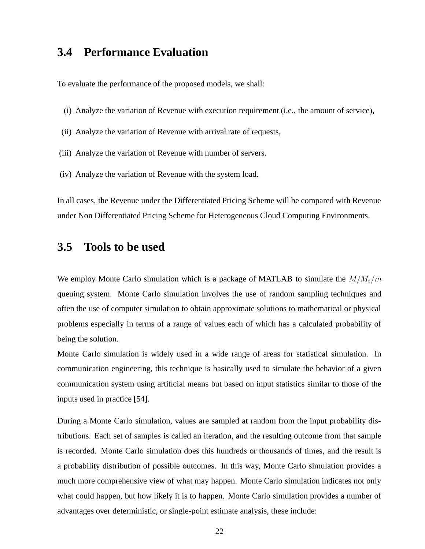## **3.4 Performance Evaluation**

To evaluate the performance of the proposed models, we shall:

- (i) Analyze the variation of Revenue with execution requirement (i.e., the amount of service),
- (ii) Analyze the variation of Revenue with arrival rate of requests,
- (iii) Analyze the variation of Revenue with number of servers.
- (iv) Analyze the variation of Revenue with the system load.

In all cases, the Revenue under the Differentiated Pricing Scheme will be compared with Revenue under Non Differentiated Pricing Scheme for Heterogeneous Cloud Computing Environments.

#### **3.5 Tools to be used**

We employ Monte Carlo simulation which is a package of MATLAB to simulate the  $M/M_i/m$ queuing system. Monte Carlo simulation involves the use of random sampling techniques and often the use of computer simulation to obtain approximate solutions to mathematical or physical problems especially in terms of a range of values each of which has a calculated probability of being the solution.

Monte Carlo simulation is widely used in a wide range of areas for statistical simulation. In communication engineering, this technique is basically used to simulate the behavior of a given communication system using artificial means but based on input statistics similar to those of the inputs used in practice [54].

During a Monte Carlo simulation, values are sampled at random from the input probability distributions. Each set of samples is called an iteration, and the resulting outcome from that sample is recorded. Monte Carlo simulation does this hundreds or thousands of times, and the result is a probability distribution of possible outcomes. In this way, Monte Carlo simulation provides a much more comprehensive view of what may happen. Monte Carlo simulation indicates not only what could happen, but how likely it is to happen. Monte Carlo simulation provides a number of advantages over deterministic, or single-point estimate analysis, these include: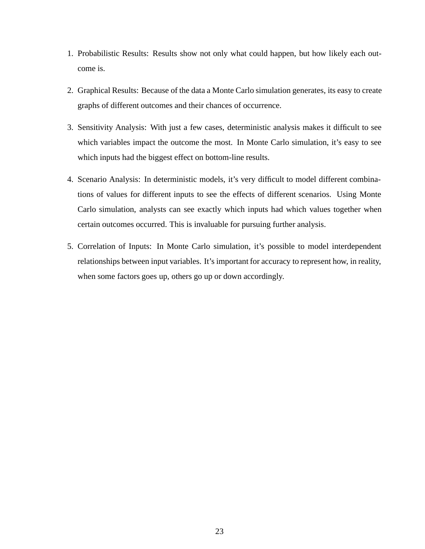- 1. Probabilistic Results: Results show not only what could happen, but how likely each outcome is.
- 2. Graphical Results: Because of the data a Monte Carlo simulation generates, its easy to create graphs of different outcomes and their chances of occurrence.
- 3. Sensitivity Analysis: With just a few cases, deterministic analysis makes it difficult to see which variables impact the outcome the most. In Monte Carlo simulation, it's easy to see which inputs had the biggest effect on bottom-line results.
- 4. Scenario Analysis: In deterministic models, it's very difficult to model different combinations of values for different inputs to see the effects of different scenarios. Using Monte Carlo simulation, analysts can see exactly which inputs had which values together when certain outcomes occurred. This is invaluable for pursuing further analysis.
- 5. Correlation of Inputs: In Monte Carlo simulation, it's possible to model interdependent relationships between input variables. It's important for accuracy to represent how, in reality, when some factors goes up, others go up or down accordingly.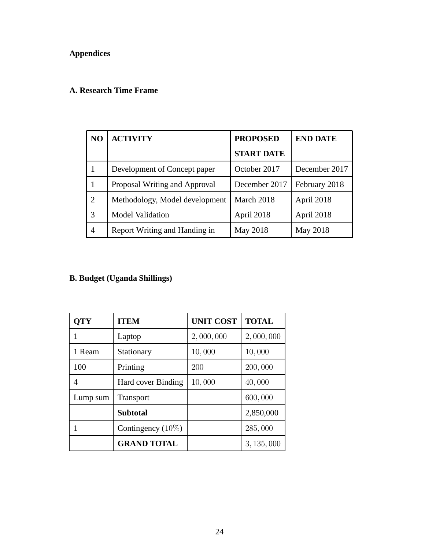#### **Appendices**

#### **A. Research Time Frame**

| N <sub>O</sub> | <b>ACTIVITY</b>                | <b>PROPOSED</b>   | <b>END DATE</b> |
|----------------|--------------------------------|-------------------|-----------------|
|                |                                | <b>START DATE</b> |                 |
| 1              | Development of Concept paper   | October 2017      | December 2017   |
| 1              | Proposal Writing and Approval  | December 2017     | February 2018   |
| $\overline{2}$ | Methodology, Model development | March 2018        | April 2018      |
| 3              | <b>Model Validation</b>        | April 2018        | April 2018      |
| 4              | Report Writing and Handing in  | May 2018          | May 2018        |

#### **B. Budget (Uganda Shillings)**

| <b>QTY</b> | <b>ITEM</b>          | <b>UNIT COST</b> | <b>TOTAL</b> |
|------------|----------------------|------------------|--------------|
|            | Laptop               | 2,000,000        | 2,000,000    |
| 1 Ream     | Stationary           | 10,000           | 10,000       |
| 100        | Printing             | 200              | 200,000      |
| 4          | Hard cover Binding   | 10,000           | 40,000       |
| Lump sum   | <b>Transport</b>     |                  | 600,000      |
|            | <b>Subtotal</b>      |                  | 2,850,000    |
|            | Contingency $(10\%)$ |                  | 285,000      |
|            | <b>GRAND TOTAL</b>   |                  | 3, 135, 000  |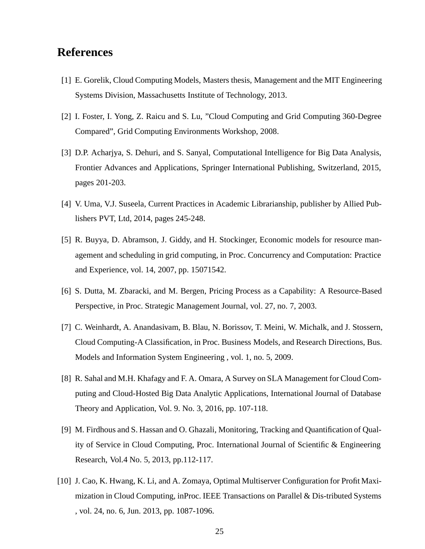### **References**

- [1] E. Gorelik, Cloud Computing Models, Masters thesis, Management and the MIT Engineering Systems Division, Massachusetts Institute of Technology, 2013.
- [2] I. Foster, I. Yong, Z. Raicu and S. Lu, "Cloud Computing and Grid Computing 360-Degree Compared", Grid Computing Environments Workshop, 2008.
- [3] D.P. Acharjya, S. Dehuri, and S. Sanyal, Computational Intelligence for Big Data Analysis, Frontier Advances and Applications, Springer International Publishing, Switzerland, 2015, pages 201-203.
- [4] V. Uma, V.J. Suseela, Current Practices in Academic Librarianship, publisher by Allied Publishers PVT, Ltd, 2014, pages 245-248.
- [5] R. Buyya, D. Abramson, J. Giddy, and H. Stockinger, Economic models for resource management and scheduling in grid computing, in Proc. Concurrency and Computation: Practice and Experience, vol. 14, 2007, pp. 15071542.
- [6] S. Dutta, M. Zbaracki, and M. Bergen, Pricing Process as a Capability: A Resource-Based Perspective, in Proc. Strategic Management Journal, vol. 27, no. 7, 2003.
- [7] C. Weinhardt, A. Anandasivam, B. Blau, N. Borissov, T. Meini, W. Michalk, and J. Stossern, Cloud Computing-A Classification, in Proc. Business Models, and Research Directions, Bus. Models and Information System Engineering , vol. 1, no. 5, 2009.
- [8] R. Sahal and M.H. Khafagy and F. A. Omara, A Survey on SLA Management for Cloud Computing and Cloud-Hosted Big Data Analytic Applications, International Journal of Database Theory and Application, Vol. 9. No. 3, 2016, pp. 107-118.
- [9] M. Firdhous and S. Hassan and O. Ghazali, Monitoring, Tracking and Quantification of Quality of Service in Cloud Computing, Proc. International Journal of Scientific & Engineering Research, Vol.4 No. 5, 2013, pp.112-117.
- [10] J. Cao, K. Hwang, K. Li, and A. Zomaya, Optimal Multiserver Configuration for Profit Maximization in Cloud Computing, inProc. IEEE Transactions on Parallel & Dis-tributed Systems , vol. 24, no. 6, Jun. 2013, pp. 1087-1096.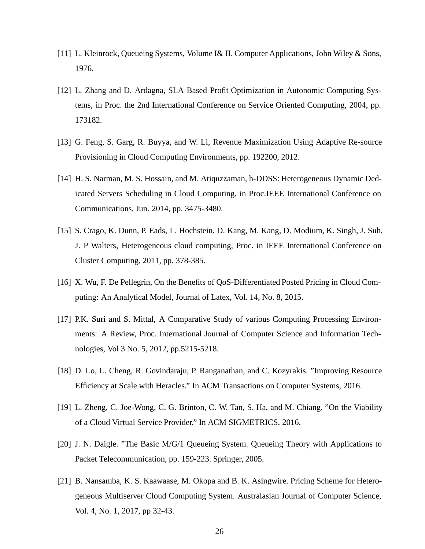- [11] L. Kleinrock, Queueing Systems, Volume I& II. Computer Applications, John Wiley & Sons, 1976.
- [12] L. Zhang and D. Ardagna, SLA Based Profit Optimization in Autonomic Computing Systems, in Proc. the 2nd International Conference on Service Oriented Computing, 2004, pp. 173182.
- [13] G. Feng, S. Garg, R. Buyya, and W. Li, Revenue Maximization Using Adaptive Re-source Provisioning in Cloud Computing Environments, pp. 192200, 2012.
- [14] H. S. Narman, M. S. Hossain, and M. Atiquzzaman, h-DDSS: Heterogeneous Dynamic Dedicated Servers Scheduling in Cloud Computing, in Proc.IEEE International Conference on Communications, Jun. 2014, pp. 3475-3480.
- [15] S. Crago, K. Dunn, P. Eads, L. Hochstein, D. Kang, M. Kang, D. Modium, K. Singh, J. Suh, J. P Walters, Heterogeneous cloud computing, Proc. in IEEE International Conference on Cluster Computing, 2011, pp. 378-385.
- [16] X. Wu, F. De Pellegrin, On the Benefits of QoS-Differentiated Posted Pricing in Cloud Computing: An Analytical Model, Journal of Latex, Vol. 14, No. 8, 2015.
- [17] P.K. Suri and S. Mittal, A Comparative Study of various Computing Processing Environments: A Review, Proc. International Journal of Computer Science and Information Technologies, Vol 3 No. 5, 2012, pp.5215-5218.
- [18] D. Lo, L. Cheng, R. Govindaraju, P. Ranganathan, and C. Kozyrakis. "Improving Resource Efficiency at Scale with Heracles." In ACM Transactions on Computer Systems, 2016.
- [19] L. Zheng, C. Joe-Wong, C. G. Brinton, C. W. Tan, S. Ha, and M. Chiang. "On the Viability of a Cloud Virtual Service Provider." In ACM SIGMETRICS, 2016.
- [20] J. N. Daigle. "The Basic M/G/1 Queueing System. Queueing Theory with Applications to Packet Telecommunication, pp. 159-223. Springer, 2005.
- [21] B. Nansamba, K. S. Kaawaase, M. Okopa and B. K. Asingwire. Pricing Scheme for Heterogeneous Multiserver Cloud Computing System. Australasian Journal of Computer Science, Vol. 4, No. 1, 2017, pp 32-43.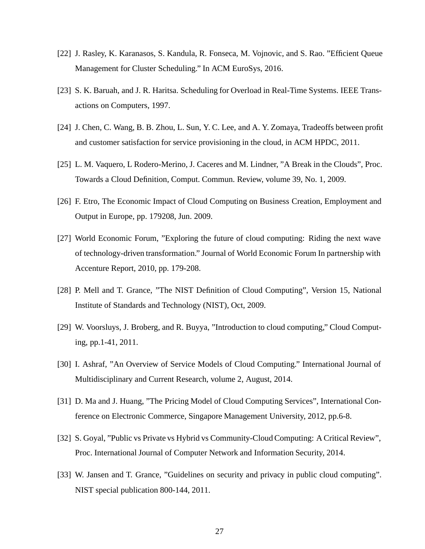- [22] J. Rasley, K. Karanasos, S. Kandula, R. Fonseca, M. Vojnovic, and S. Rao. "Efficient Queue Management for Cluster Scheduling." In ACM EuroSys, 2016.
- [23] S. K. Baruah, and J. R. Haritsa. Scheduling for Overload in Real-Time Systems. IEEE Transactions on Computers, 1997.
- [24] J. Chen, C. Wang, B. B. Zhou, L. Sun, Y. C. Lee, and A. Y. Zomaya, Tradeoffs between profit and customer satisfaction for service provisioning in the cloud, in ACM HPDC, 2011.
- [25] L. M. Vaquero, L Rodero-Merino, J. Caceres and M. Lindner, "A Break in the Clouds", Proc. Towards a Cloud Definition, Comput. Commun. Review, volume 39, No. 1, 2009.
- [26] F. Etro, The Economic Impact of Cloud Computing on Business Creation, Employment and Output in Europe, pp. 179208, Jun. 2009.
- [27] World Economic Forum, "Exploring the future of cloud computing: Riding the next wave of technology-driven transformation." Journal of World Economic Forum In partnership with Accenture Report, 2010, pp. 179-208.
- [28] P. Mell and T. Grance, "The NIST Definition of Cloud Computing", Version 15, National Institute of Standards and Technology (NIST), Oct, 2009.
- [29] W. Voorsluys, J. Broberg, and R. Buyya, "Introduction to cloud computing," Cloud Computing, pp.1-41, 2011.
- [30] I. Ashraf, "An Overview of Service Models of Cloud Computing." International Journal of Multidisciplinary and Current Research, volume 2, August, 2014.
- [31] D. Ma and J. Huang, "The Pricing Model of Cloud Computing Services", International Conference on Electronic Commerce, Singapore Management University, 2012, pp.6-8.
- [32] S. Goyal, "Public vs Private vs Hybrid vs Community-Cloud Computing: A Critical Review", Proc. International Journal of Computer Network and Information Security, 2014.
- [33] W. Jansen and T. Grance, "Guidelines on security and privacy in public cloud computing". NIST special publication 800-144, 2011.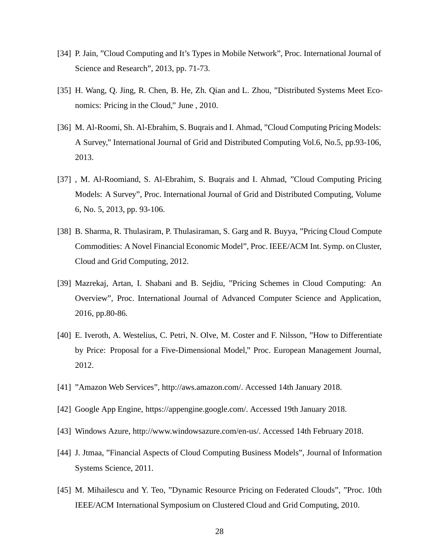- [34] P. Jain, "Cloud Computing and It's Types in Mobile Network", Proc. International Journal of Science and Research", 2013, pp. 71-73.
- [35] H. Wang, Q. Jing, R. Chen, B. He, Zh. Qian and L. Zhou, "Distributed Systems Meet Economics: Pricing in the Cloud," June , 2010.
- [36] M. Al-Roomi, Sh. Al-Ebrahim, S. Buqrais and I. Ahmad, "Cloud Computing Pricing Models: A Survey," International Journal of Grid and Distributed Computing Vol.6, No.5, pp.93-106, 2013.
- [37] , M. Al-Roomiand, S. Al-Ebrahim, S. Buqrais and I. Ahmad, "Cloud Computing Pricing Models: A Survey", Proc. International Journal of Grid and Distributed Computing, Volume 6, No. 5, 2013, pp. 93-106.
- [38] B. Sharma, R. Thulasiram, P. Thulasiraman, S. Garg and R. Buyya, "Pricing Cloud Compute Commodities: A Novel Financial Economic Model", Proc. IEEE/ACM Int. Symp. on Cluster, Cloud and Grid Computing, 2012.
- [39] Mazrekaj, Artan, I. Shabani and B. Sejdiu, "Pricing Schemes in Cloud Computing: An Overview", Proc. International Journal of Advanced Computer Science and Application, 2016, pp.80-86.
- [40] E. Iveroth, A. Westelius, C. Petri, N. Olve, M. Coster and F. Nilsson, "How to Differentiate by Price: Proposal for a Five-Dimensional Model," Proc. European Management Journal, 2012.
- [41] "Amazon Web Services", http://aws.amazon.com/. Accessed 14th January 2018.
- [42] Google App Engine, https://appengine.google.com/. Accessed 19th January 2018.
- [43] Windows Azure, http://www.windowsazure.com/en-us/. Accessed 14th February 2018.
- [44] J. Jtmaa, "Financial Aspects of Cloud Computing Business Models", Journal of Information Systems Science, 2011.
- [45] M. Mihailescu and Y. Teo, "Dynamic Resource Pricing on Federated Clouds", "Proc. 10th IEEE/ACM International Symposium on Clustered Cloud and Grid Computing, 2010.